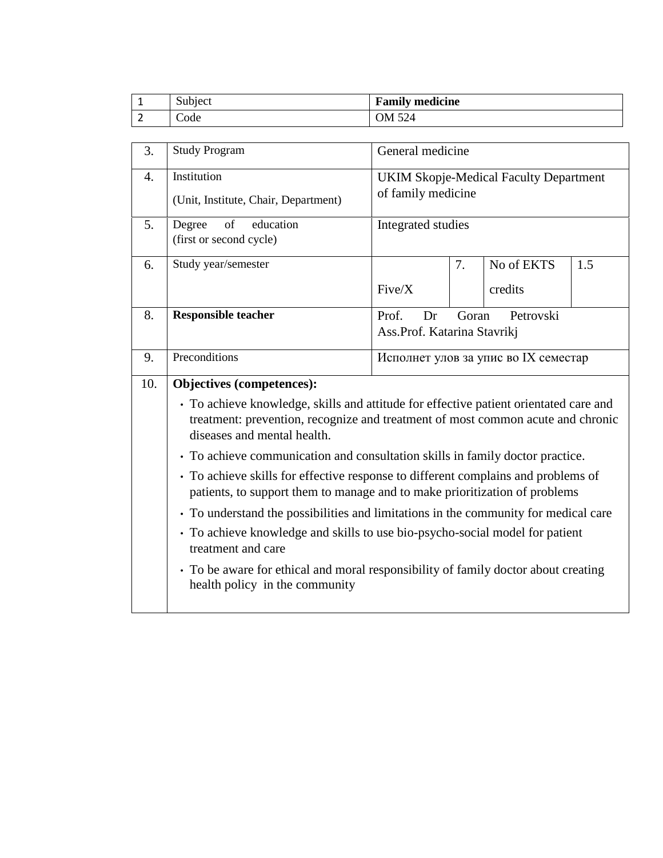|   | $\sim$ $\sim$<br>Subject | <b>Family medicine</b> |
|---|--------------------------|------------------------|
| - | Code                     | OM 524                 |

| 3.               | General medicine<br><b>Study Program</b>                                                                                                                                                                                                                                                                                                                                                                                                                                                                                                                                                                                                                                                                                                                                                                      |                                                                     |    |                       |     |  |
|------------------|---------------------------------------------------------------------------------------------------------------------------------------------------------------------------------------------------------------------------------------------------------------------------------------------------------------------------------------------------------------------------------------------------------------------------------------------------------------------------------------------------------------------------------------------------------------------------------------------------------------------------------------------------------------------------------------------------------------------------------------------------------------------------------------------------------------|---------------------------------------------------------------------|----|-----------------------|-----|--|
| $\overline{4}$ . | Institution<br>(Unit, Institute, Chair, Department)                                                                                                                                                                                                                                                                                                                                                                                                                                                                                                                                                                                                                                                                                                                                                           | <b>UKIM Skopje-Medical Faculty Department</b><br>of family medicine |    |                       |     |  |
| 5.               | of<br>education<br>Degree<br>(first or second cycle)                                                                                                                                                                                                                                                                                                                                                                                                                                                                                                                                                                                                                                                                                                                                                          | Integrated studies                                                  |    |                       |     |  |
| 6.               | Study year/semester                                                                                                                                                                                                                                                                                                                                                                                                                                                                                                                                                                                                                                                                                                                                                                                           | Five/X                                                              | 7. | No of EKTS<br>credits | 1.5 |  |
| 8.               | <b>Responsible teacher</b>                                                                                                                                                                                                                                                                                                                                                                                                                                                                                                                                                                                                                                                                                                                                                                                    | Petrovski<br>Prof.<br>Goran<br>Dr<br>Ass.Prof. Katarina Stavrikj    |    |                       |     |  |
| 9.               | Preconditions                                                                                                                                                                                                                                                                                                                                                                                                                                                                                                                                                                                                                                                                                                                                                                                                 | Исполнет улов за упис во IX семестар                                |    |                       |     |  |
| 10.              | Objectives (competences):<br>• To achieve knowledge, skills and attitude for effective patient orientated care and<br>treatment: prevention, recognize and treatment of most common acute and chronic<br>diseases and mental health.<br>• To achieve communication and consultation skills in family doctor practice.<br>• To achieve skills for effective response to different complains and problems of<br>patients, to support them to manage and to make prioritization of problems<br>• To understand the possibilities and limitations in the community for medical care<br>• To achieve knowledge and skills to use bio-psycho-social model for patient<br>treatment and care<br>• To be aware for ethical and moral responsibility of family doctor about creating<br>health policy in the community |                                                                     |    |                       |     |  |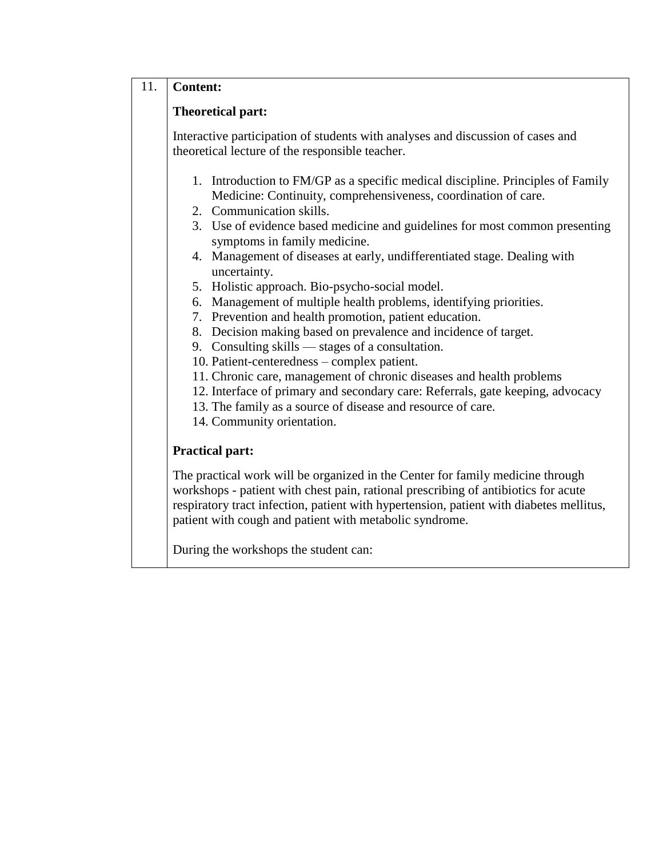## 11. **Content:**

## **Theoretical part:**

Interactive participation of students with analyses and discussion of cases and theoretical lecture of the responsible teacher.

- 1. Introduction to FM/GP as a specific medical discipline. Principles of Family Medicine: Continuity, comprehensiveness, coordination of care.
- 2. Communication skills.
- 3. Use of evidence based medicine and guidelines for most common presenting symptoms in family medicine.
- 4. Management of diseases at early, undifferentiated stage. Dealing with uncertainty.
- 5. Holistic approach. Bio-psycho-social model.
- 6. Management of multiple health problems, identifying priorities.
- 7. Prevention and health promotion, patient education.
- 8. Decision making based on prevalence and incidence of target.
- 9. Consulting skills stages of a consultation.
- 10. Patient-centeredness complex patient.
- 11. Chronic care, management of chronic diseases and health problems
- 12. Interface of primary and secondary care: Referrals, gate keeping, advocacy
- 13. The family as a source of disease and resource of care.
- 14. Community orientation.

## **Practical part:**

The practical work will be organized in the Center for family medicine through workshops - patient with chest pain, rational prescribing of antibiotics for acute respiratory tract infection, patient with hypertension, patient with diabetes mellitus, patient with cough and patient with metabolic syndrome.

During the workshops the student can: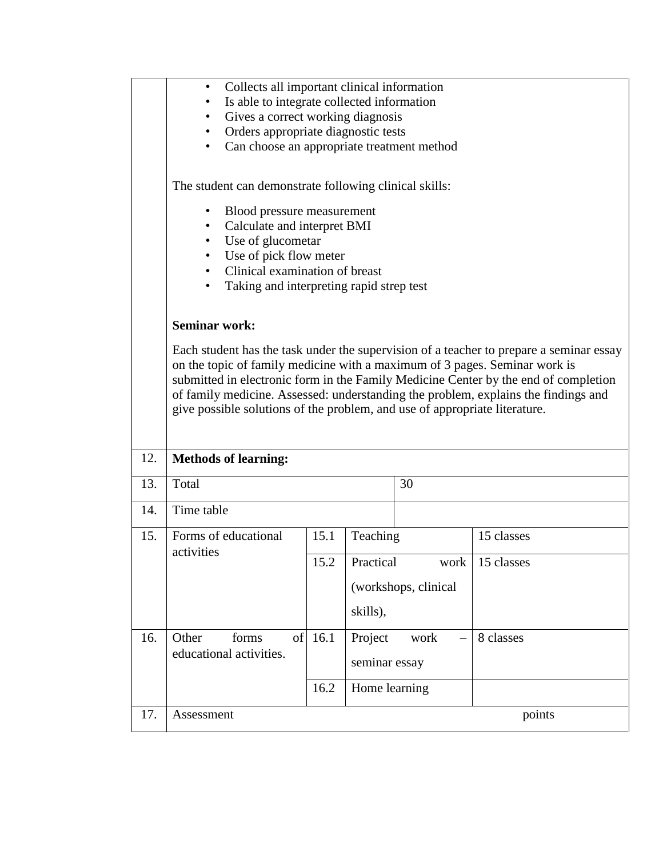|     | Collects all important clinical information<br>٠<br>Is able to integrate collected information<br>٠<br>Gives a correct working diagnosis<br>Orders appropriate diagnostic tests                                                                                                                                                                                                                                                                          |              |                                                       |                              |                          |  |  |
|-----|----------------------------------------------------------------------------------------------------------------------------------------------------------------------------------------------------------------------------------------------------------------------------------------------------------------------------------------------------------------------------------------------------------------------------------------------------------|--------------|-------------------------------------------------------|------------------------------|--------------------------|--|--|
|     | Can choose an appropriate treatment method                                                                                                                                                                                                                                                                                                                                                                                                               |              |                                                       |                              |                          |  |  |
|     | The student can demonstrate following clinical skills:<br>Blood pressure measurement<br>Calculate and interpret BMI<br>Use of glucometar<br>Use of pick flow meter<br>Clinical examination of breast<br>$\bullet$<br>Taking and interpreting rapid strep test                                                                                                                                                                                            |              |                                                       |                              |                          |  |  |
|     | <b>Seminar work:</b><br>Each student has the task under the supervision of a teacher to prepare a seminar essay<br>on the topic of family medicine with a maximum of 3 pages. Seminar work is<br>submitted in electronic form in the Family Medicine Center by the end of completion<br>of family medicine. Assessed: understanding the problem, explains the findings and<br>give possible solutions of the problem, and use of appropriate literature. |              |                                                       |                              |                          |  |  |
| 12. | <b>Methods of learning:</b>                                                                                                                                                                                                                                                                                                                                                                                                                              |              |                                                       |                              |                          |  |  |
| 13. | Total                                                                                                                                                                                                                                                                                                                                                                                                                                                    |              |                                                       | 30                           |                          |  |  |
| 14. | Time table                                                                                                                                                                                                                                                                                                                                                                                                                                               |              |                                                       |                              |                          |  |  |
| 15. | Forms of educational<br>activities                                                                                                                                                                                                                                                                                                                                                                                                                       | 15.1<br>15.2 | Teaching<br>Practical                                 | work<br>(workshops, clinical | 15 classes<br>15 classes |  |  |
| 16. | Other<br>of<br>forms<br>educational activities.                                                                                                                                                                                                                                                                                                                                                                                                          | 16.1<br>16.2 | skills),<br>Project<br>seminar essay<br>Home learning | work                         | 8 classes                |  |  |
| 17. | Assessment                                                                                                                                                                                                                                                                                                                                                                                                                                               |              |                                                       |                              | points                   |  |  |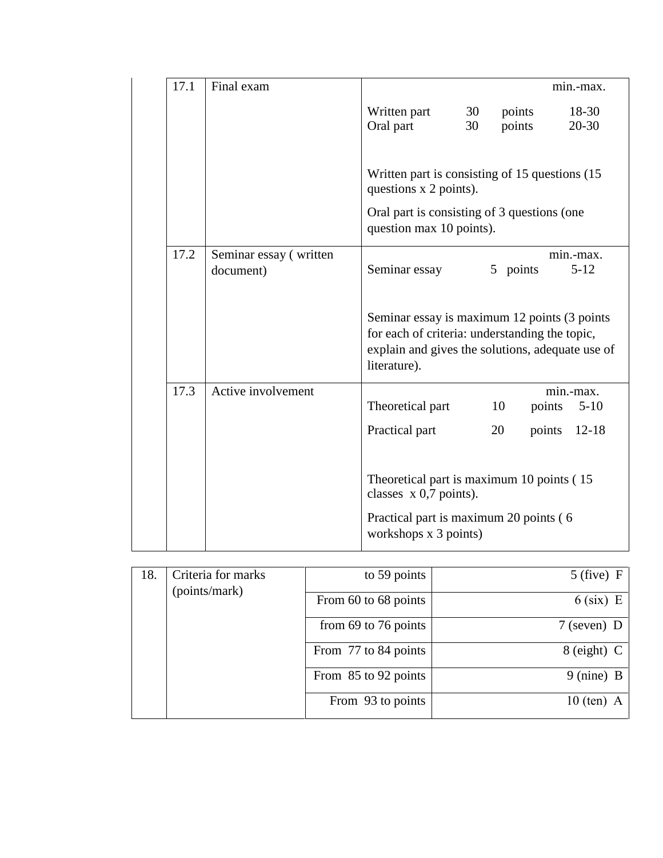| 17.1 | Final exam                          | min.-max.                                                                                                                                                          |  |  |  |  |
|------|-------------------------------------|--------------------------------------------------------------------------------------------------------------------------------------------------------------------|--|--|--|--|
|      |                                     | Written part<br>$18-30$<br>30<br>points<br>Oral part<br>30<br>points<br>$20 - 30$                                                                                  |  |  |  |  |
|      |                                     | Written part is consisting of 15 questions (15)<br>questions x 2 points).                                                                                          |  |  |  |  |
|      |                                     | Oral part is consisting of 3 questions (one<br>question max 10 points).                                                                                            |  |  |  |  |
| 17.2 | Seminar essay (written<br>document) | min.-max.<br>Seminar essay<br>5 points<br>$5 - 12$                                                                                                                 |  |  |  |  |
|      |                                     | Seminar essay is maximum 12 points (3 points<br>for each of criteria: understanding the topic,<br>explain and gives the solutions, adequate use of<br>literature). |  |  |  |  |
| 17.3 | Active involvement                  | min.-max.<br>Theoretical part<br>10<br>points<br>$5-10$                                                                                                            |  |  |  |  |
|      |                                     | Practical part<br>points<br>$12 - 18$<br>20                                                                                                                        |  |  |  |  |
|      |                                     | Theoretical part is maximum 10 points (15)<br>classes $x$ 0,7 points).                                                                                             |  |  |  |  |
|      |                                     | Practical part is maximum 20 points (6<br>workshops x 3 points)                                                                                                    |  |  |  |  |

| 18. | Criteria for marks<br>(points/mark) | to 59 points         | $5$ (five) F         |
|-----|-------------------------------------|----------------------|----------------------|
|     |                                     | From 60 to 68 points | $6$ (six) E          |
|     |                                     | from 69 to 76 points | $7$ (seven) D        |
|     |                                     | From 77 to 84 points | $8$ (eight) C        |
|     |                                     | From 85 to 92 points | $9 \text{ (nine)} B$ |
|     |                                     | From 93 to points    | $10$ (ten) A         |